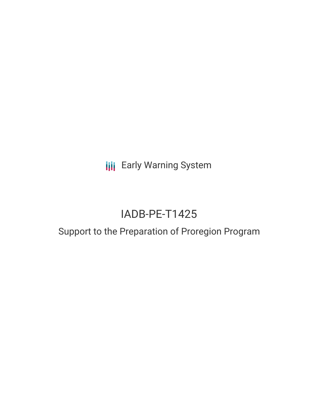**III** Early Warning System

# IADB-PE-T1425

## Support to the Preparation of Proregion Program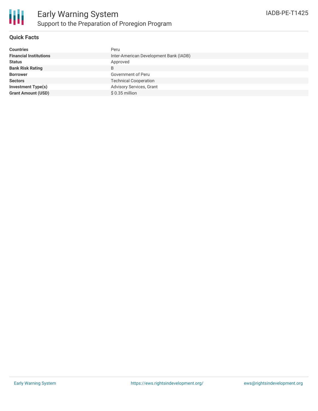

## **Quick Facts**

| <b>Countries</b>              | Peru                                   |
|-------------------------------|----------------------------------------|
| <b>Financial Institutions</b> | Inter-American Development Bank (IADB) |
| <b>Status</b>                 | Approved                               |
| <b>Bank Risk Rating</b>       | B                                      |
| <b>Borrower</b>               | Government of Peru                     |
| <b>Sectors</b>                | <b>Technical Cooperation</b>           |
| <b>Investment Type(s)</b>     | Advisory Services, Grant               |
| <b>Grant Amount (USD)</b>     | $$0.35$ million                        |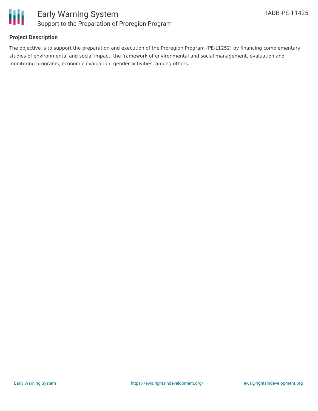

## **Project Description**

The objective is to support the preparation and execution of the Proregion Program (PE-L1252) by financing complementary studies of environmental and social impact, the framework of environmental and social management, evaluation and monitoring programs, economic evaluation, gender activities, among others.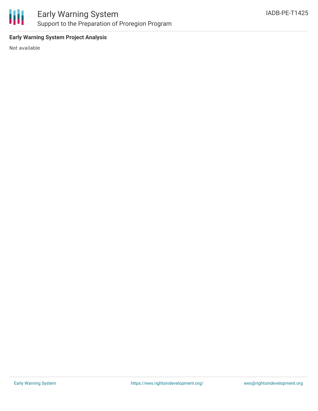

## **Early Warning System Project Analysis**

Not available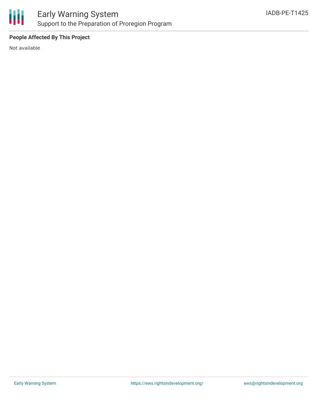

## **People Affected By This Project**

Not available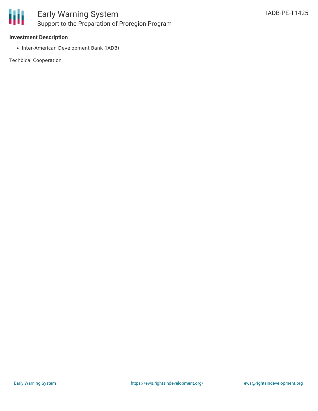

### **Investment Description**

• Inter-American Development Bank (IADB)

Techbical Cooperation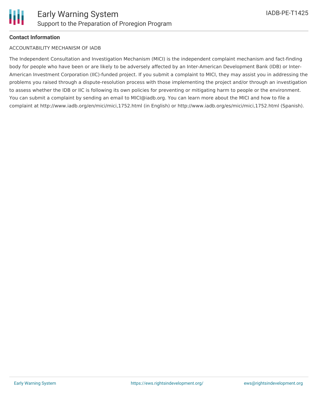

### **Contact Information**

#### ACCOUNTABILITY MECHANISM OF IADB

The Independent Consultation and Investigation Mechanism (MICI) is the independent complaint mechanism and fact-finding body for people who have been or are likely to be adversely affected by an Inter-American Development Bank (IDB) or Inter-American Investment Corporation (IIC)-funded project. If you submit a complaint to MICI, they may assist you in addressing the problems you raised through a dispute-resolution process with those implementing the project and/or through an investigation to assess whether the IDB or IIC is following its own policies for preventing or mitigating harm to people or the environment. You can submit a complaint by sending an email to MICI@iadb.org. You can learn more about the MICI and how to file a complaint at http://www.iadb.org/en/mici/mici,1752.html (in English) or http://www.iadb.org/es/mici/mici,1752.html (Spanish).